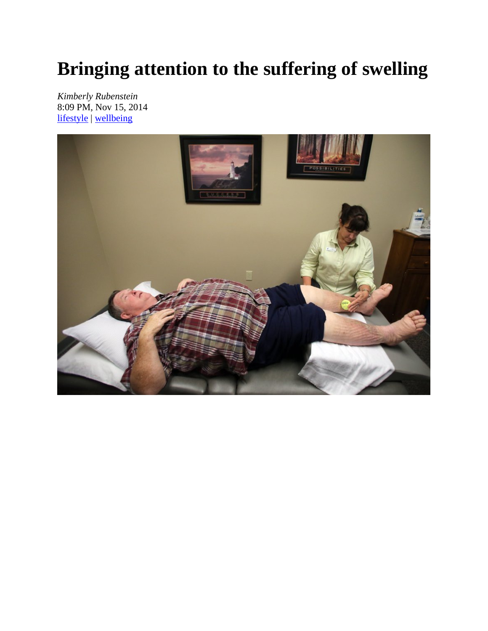# **Bringing attention to the suffering of swelling**

*Kimberly Rubenstein*  8:09 PM, Nov 15, 2014 lifestyle | wellbeing

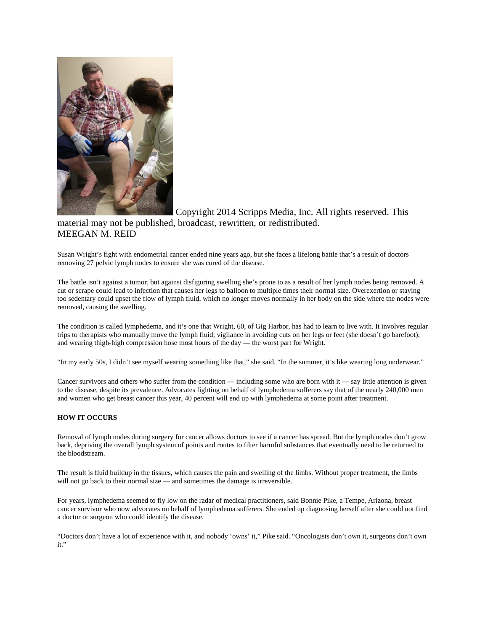

 Copyright 2014 Scripps Media, Inc. All rights reserved. This material may not be published, broadcast, rewritten, or redistributed. MEEGAN M. REID

Susan Wright's fight with endometrial cancer ended nine years ago, but she faces a lifelong battle that's a result of doctors removing 27 pelvic lymph nodes to ensure she was cured of the disease.

The battle isn't against a tumor, but against disfiguring swelling she's prone to as a result of her lymph nodes being removed. A cut or scrape could lead to infection that causes her legs to balloon to multiple times their normal size. Overexertion or staying too sedentary could upset the flow of lymph fluid, which no longer moves normally in her body on the side where the nodes were removed, causing the swelling.

The condition is called lymphedema, and it's one that Wright, 60, of Gig Harbor, has had to learn to live with. It involves regular trips to therapists who manually move the lymph fluid; vigilance in avoiding cuts on her legs or feet (she doesn't go barefoot); and wearing thigh-high compression hose most hours of the day — the worst part for Wright.

"In my early 50s, I didn't see myself wearing something like that," she said. "In the summer, it's like wearing long underwear."

Cancer survivors and others who suffer from the condition — including some who are born with it — say little attention is given to the disease, despite its prevalence. Advocates fighting on behalf of lymphedema sufferers say that of the nearly 240,000 men and women who get breast cancer this year, 40 percent will end up with lymphedema at some point after treatment.

#### **HOW IT OCCURS**

Removal of lymph nodes during surgery for cancer allows doctors to see if a cancer has spread. But the lymph nodes don't grow back, depriving the overall lymph system of points and routes to filter harmful substances that eventually need to be returned to the bloodstream.

The result is fluid buildup in the tissues, which causes the pain and swelling of the limbs. Without proper treatment, the limbs will not go back to their normal size — and sometimes the damage is irreversible.

For years, lymphedema seemed to fly low on the radar of medical practitioners, said Bonnie Pike, a Tempe, Arizona, breast cancer survivor who now advocates on behalf of lymphedema sufferers. She ended up diagnosing herself after she could not find a doctor or surgeon who could identify the disease.

"Doctors don't have a lot of experience with it, and nobody 'owns' it," Pike said. "Oncologists don't own it, surgeons don't own it."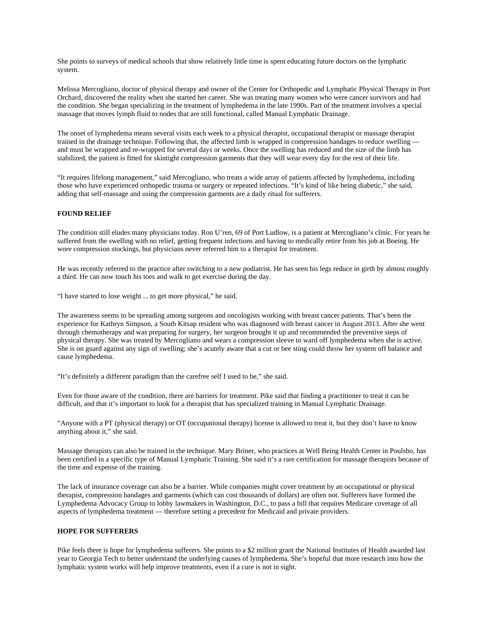She points to surveys of medical schools that show relatively little time is spent educating future doctors on the lymphatic system.

Melissa Mercogliano, doctor of physical therapy and owner of the Center for Orthopedic and Lymphatic Physical Therapy in Port Orchard, discovered the reality when she started her career. She was treating many women who were cancer survivors and had the condition. She began specializing in the treatment of lymphedema in the late 1990s. Part of the treatment involves a special massage that moves lymph fluid to nodes that are still functional, called Manual Lymphatic Drainage.

The onset of lymphedema means several visits each week to a physical therapist, occupational therapist or massage therapist trained in the drainage technique. Following that, the affected limb is wrapped in compression bandages to reduce swelling and must be wrapped and re-wrapped for several days or weeks. Once the swelling has reduced and the size of the limb has stabilized, the patient is fitted for skintight compression garments that they will wear every day for the rest of their life.

"It requires lifelong management," said Mercogliano, who treats a wide array of patients affected by lymphedema, including those who have experienced orthopedic trauma or surgery or repeated infections. "It's kind of like being diabetic," she said, adding that self-massage and using the compression garments are a daily ritual for sufferers.

#### **FOUND RELIEF**

The condition still eludes many physicians today. Ron U'ren, 69 of Port Ludlow, is a patient at Mercogliano's clinic. For years he suffered from the swelling with no relief, getting frequent infections and having to medically retire from his job at Boeing. He wore compression stockings, but physicians never referred him to a therapist for treatment.

He was recently referred to the practice after switching to a new podiatrist. He has seen his legs reduce in girth by almost roughly a third. He can now touch his toes and walk to get exercise during the day.

"I have started to lose weight ... to get more physical," he said.

The awareness seems to be spreading among surgeons and oncologists working with breast cancer patients. That's been the experience for Kathryn Simpson, a South Kitsap resident who was diagnosed with breast cancer in August 2013. After she went through chemotherapy and was preparing for surgery, her surgeon brought it up and recommended the preventive steps of physical therapy. She was treated by Mercogliano and wears a compression sleeve to ward off lymphedema when she is active. She is on guard against any sign of swelling; she's acutely aware that a cut or bee sting could throw her system off balance and cause lymphedema.

"It's definitely a different paradigm than the carefree self I used to be," she said.

Even for those aware of the condition, there are barriers for treatment. Pike said that finding a practitioner to treat it can be difficult, and that it's important to look for a therapist that has specialized training in Manual Lymphatic Drainage.

"Anyone with a PT (physical therapy) or OT (occupational therapy) license is allowed to treat it, but they don't have to know anything about it," she said.

Massage therapists can also be trained in the technique. Mary Briner, who practices at Well Being Health Center in Poulsbo, has been certified in a specific type of Manual Lymphatic Training. She said it's a rare certification for massage therapists because of the time and expense of the training.

The lack of insurance coverage can also be a barrier. While companies might cover treatment by an occupational or physical therapist, compression bandages and garments (which can cost thousands of dollars) are often not. Sufferers have formed the Lymphedema Advocacy Group to lobby lawmakers in Washington, D.C., to pass a bill that requires Medicare coverage of all aspects of lymphedema treatment — therefore setting a precedent for Medicaid and private providers.

## **HOPE FOR SUFFERERS**

Pike feels there is hope for lymphedema sufferers. She points to a \$2 million grant the National Institutes of Health awarded last year to Georgia Tech to better understand the underlying causes of lymphedema. She's hopeful that more research into how the lymphatic system works will help improve treatments, even if a cure is not in sight.